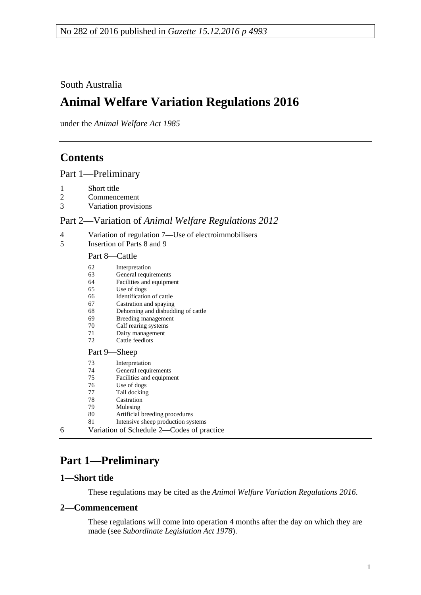## South Australia

# **Animal Welfare Variation Regulations 2016**

under the *Animal Welfare Act 1985*

# **Contents**

Part [1—Preliminary](#page-0-0)

- [Short title](#page-0-1)
- [Commencement](#page-0-2)
- [Variation provisions](#page-1-0)

## Part 2—Variation of *[Animal Welfare Regulations](#page-1-1) 2012*

- [Variation of regulation 7—Use of electroimmobilisers](#page-1-2)<br>5 Insertion of Parts 8 and 9
- [Insertion of Parts 8 and 9](#page-1-3)

#### Part 8—Cattle

|   | 62<br>63<br>64<br>65<br>66<br>67<br>68<br>69<br>70<br>71 | Interpretation<br>General requirements<br>Facilities and equipment<br>Use of dogs<br>Identification of cattle<br>Castration and spaying<br>Dehorning and disbudding of cattle<br>Breeding management<br>Calf rearing systems<br>Dairy management |
|---|----------------------------------------------------------|--------------------------------------------------------------------------------------------------------------------------------------------------------------------------------------------------------------------------------------------------|
|   | 72                                                       | Cattle feedlots                                                                                                                                                                                                                                  |
|   | Part 9—Sheep                                             |                                                                                                                                                                                                                                                  |
|   | 73<br>74<br>75<br>76<br>77<br>78<br>79.<br>80<br>81      | Interpretation<br>General requirements<br>Facilities and equipment<br>Use of dogs<br>Tail docking<br>Castration<br>Mulesing<br>Artificial breeding procedures<br>Intensive sheep production systems                                              |
| 6 | Variation of Schedule 2—Codes of practice                |                                                                                                                                                                                                                                                  |

# <span id="page-0-0"></span>**Part 1—Preliminary**

## <span id="page-0-1"></span>**1—Short title**

These regulations may be cited as the *Animal Welfare Variation Regulations 2016*.

## <span id="page-0-2"></span>**2—Commencement**

These regulations will come into operation 4 months after the day on which they are made (see *[Subordinate Legislation Act](http://www.legislation.sa.gov.au/index.aspx?action=legref&type=act&legtitle=Subordinate%20Legislation%20Act%201978) 1978*).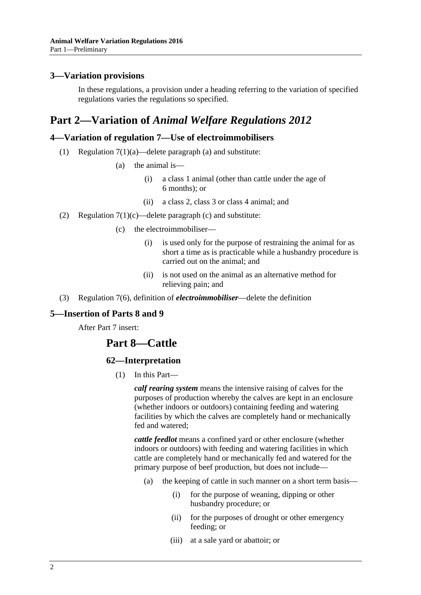## <span id="page-1-0"></span>**3—Variation provisions**

In these regulations, a provision under a heading referring to the variation of specified regulations varies the regulations so specified.

## <span id="page-1-1"></span>**Part 2—Variation of** *Animal Welfare Regulations 2012*

## <span id="page-1-2"></span>**4—Variation of regulation 7—Use of electroimmobilisers**

- (1) Regulation 7(1)(a)—delete paragraph (a) and substitute:
	- (a) the animal is—
		- (i) a class 1 animal (other than cattle under the age of 6 months); or
		- (ii) a class 2, class 3 or class 4 animal; and
- (2) Regulation  $7(1)(c)$ —delete paragraph (c) and substitute:
	- (c) the electroimmobiliser—
		- (i) is used only for the purpose of restraining the animal for as short a time as is practicable while a husbandry procedure is carried out on the animal; and
		- (ii) is not used on the animal as an alternative method for relieving pain; and
- (3) Regulation 7(6), definition of *electroimmobiliser*—delete the definition

## <span id="page-1-3"></span>**5—Insertion of Parts 8 and 9**

After Part 7 insert:

## **Part 8—Cattle**

#### **62—Interpretation**

(1) In this Part—

*calf rearing system* means the intensive raising of calves for the purposes of production whereby the calves are kept in an enclosure (whether indoors or outdoors) containing feeding and watering facilities by which the calves are completely hand or mechanically fed and watered;

*cattle feedlot* means a confined yard or other enclosure (whether indoors or outdoors) with feeding and watering facilities in which cattle are completely hand or mechanically fed and watered for the primary purpose of beef production, but does not include—

- (a) the keeping of cattle in such manner on a short term basis—
	- (i) for the purpose of weaning, dipping or other husbandry procedure; or
	- (ii) for the purposes of drought or other emergency feeding; or
	- (iii) at a sale yard or abattoir; or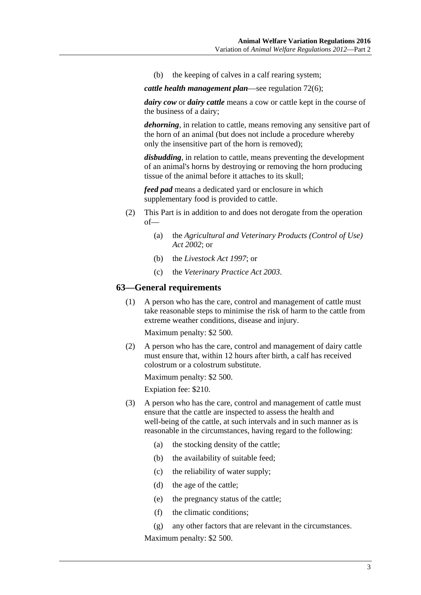(b) the keeping of calves in a calf rearing system;

*cattle health management plan*—see [regulation](#page-7-0) 72(6);

*dairy cow* or *dairy cattle* means a cow or cattle kept in the course of the business of a dairy;

*dehorning*, in relation to cattle, means removing any sensitive part of the horn of an animal (but does not include a procedure whereby only the insensitive part of the horn is removed);

*disbudding*, in relation to cattle, means preventing the development of an animal's horns by destroying or removing the horn producing tissue of the animal before it attaches to its skull;

*feed pad* means a dedicated yard or enclosure in which supplementary food is provided to cattle.

- (2) This Part is in addition to and does not derogate from the operation of—
	- (a) the *Agricultural and [Veterinary Products \(Control of Use\)](http://www.legislation.sa.gov.au/index.aspx?action=legref&type=act&legtitle=Agricultural%20and%20Veterinary%20Products%20(Control%20of%20Use)%20Act%202002)  Act [2002](http://www.legislation.sa.gov.au/index.aspx?action=legref&type=act&legtitle=Agricultural%20and%20Veterinary%20Products%20(Control%20of%20Use)%20Act%202002)*; or
	- (b) the *[Livestock Act](http://www.legislation.sa.gov.au/index.aspx?action=legref&type=act&legtitle=Livestock%20Act%201997) 1997*; or
	- (c) the *[Veterinary Practice Act](http://www.legislation.sa.gov.au/index.aspx?action=legref&type=act&legtitle=Veterinary%20Practice%20Act%202003) 2003*.

#### **63—General requirements**

(1) A person who has the care, control and management of cattle must take reasonable steps to minimise the risk of harm to the cattle from extreme weather conditions, disease and injury.

Maximum penalty: \$2 500.

(2) A person who has the care, control and management of dairy cattle must ensure that, within 12 hours after birth, a calf has received colostrum or a colostrum substitute.

Maximum penalty: \$2 500.

Expiation fee: \$210.

- (3) A person who has the care, control and management of cattle must ensure that the cattle are inspected to assess the health and well-being of the cattle, at such intervals and in such manner as is reasonable in the circumstances, having regard to the following:
	- (a) the stocking density of the cattle;
	- (b) the availability of suitable feed;
	- (c) the reliability of water supply;
	- (d) the age of the cattle;
	- (e) the pregnancy status of the cattle;
	- (f) the climatic conditions;

(g) any other factors that are relevant in the circumstances. Maximum penalty: \$2 500.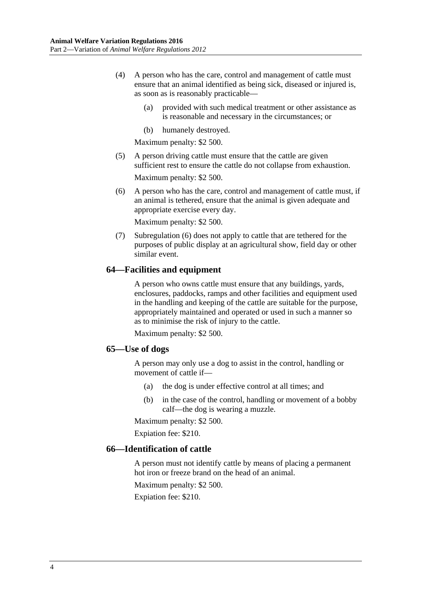- (4) A person who has the care, control and management of cattle must ensure that an animal identified as being sick, diseased or injured is, as soon as is reasonably practicable—
	- (a) provided with such medical treatment or other assistance as is reasonable and necessary in the circumstances; or
	- (b) humanely destroyed.

Maximum penalty: \$2 500.

- (5) A person driving cattle must ensure that the cattle are given sufficient rest to ensure the cattle do not collapse from exhaustion. Maximum penalty: \$2 500.
- <span id="page-3-0"></span>(6) A person who has the care, control and management of cattle must, if an animal is tethered, ensure that the animal is given adequate and appropriate exercise every day.

Maximum penalty: \$2 500.

(7) [Subregulation](#page-3-0) (6) does not apply to cattle that are tethered for the purposes of public display at an agricultural show, field day or other similar event.

#### **64—Facilities and equipment**

A person who owns cattle must ensure that any buildings, yards, enclosures, paddocks, ramps and other facilities and equipment used in the handling and keeping of the cattle are suitable for the purpose, appropriately maintained and operated or used in such a manner so as to minimise the risk of injury to the cattle.

Maximum penalty: \$2 500.

#### **65—Use of dogs**

A person may only use a dog to assist in the control, handling or movement of cattle if—

- (a) the dog is under effective control at all times; and
- (b) in the case of the control, handling or movement of a bobby calf—the dog is wearing a muzzle.

Maximum penalty: \$2 500.

Expiation fee: \$210.

## **66—Identification of cattle**

A person must not identify cattle by means of placing a permanent hot iron or freeze brand on the head of an animal.

Maximum penalty: \$2 500.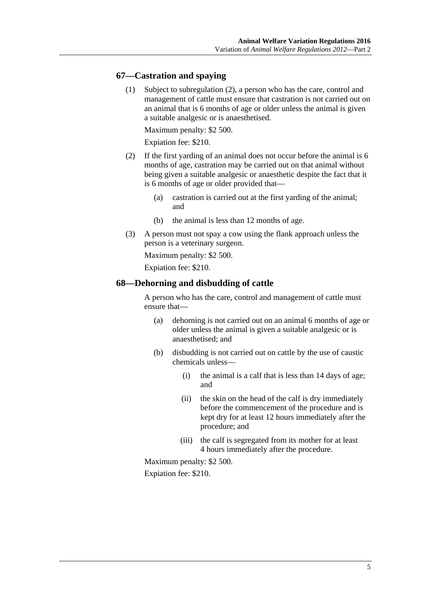#### **67—Castration and spaying**

(1) Subject to [subregulation](#page-4-0) (2), a person who has the care, control and management of cattle must ensure that castration is not carried out on an animal that is 6 months of age or older unless the animal is given a suitable analgesic or is anaesthetised.

Maximum penalty: \$2 500.

Expiation fee: \$210.

- <span id="page-4-0"></span>(2) If the first yarding of an animal does not occur before the animal is 6 months of age, castration may be carried out on that animal without being given a suitable analgesic or anaesthetic despite the fact that it is 6 months of age or older provided that—
	- (a) castration is carried out at the first yarding of the animal; and
	- (b) the animal is less than 12 months of age.
- (3) A person must not spay a cow using the flank approach unless the person is a veterinary surgeon.

Maximum penalty: \$2 500.

Expiation fee: \$210.

#### **68—Dehorning and disbudding of cattle**

A person who has the care, control and management of cattle must ensure that—

- (a) dehorning is not carried out on an animal 6 months of age or older unless the animal is given a suitable analgesic or is anaesthetised; and
- (b) disbudding is not carried out on cattle by the use of caustic chemicals unless—
	- (i) the animal is a calf that is less than 14 days of age; and
	- (ii) the skin on the head of the calf is dry immediately before the commencement of the procedure and is kept dry for at least 12 hours immediately after the procedure; and
	- (iii) the calf is segregated from its mother for at least 4 hours immediately after the procedure.

Maximum penalty: \$2 500.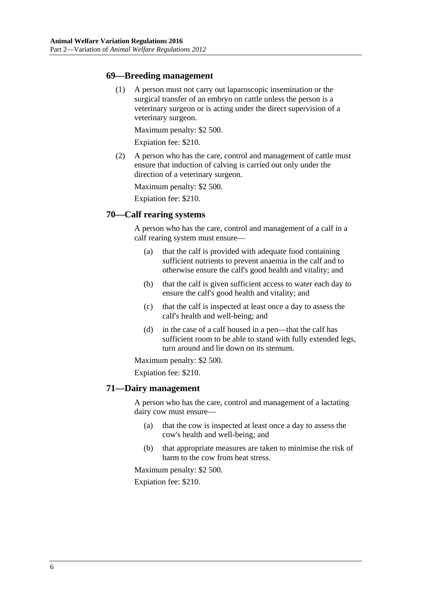#### **69—Breeding management**

(1) A person must not carry out laparoscopic insemination or the surgical transfer of an embryo on cattle unless the person is a veterinary surgeon or is acting under the direct supervision of a veterinary surgeon.

Maximum penalty: \$2 500.

Expiation fee: \$210.

(2) A person who has the care, control and management of cattle must ensure that induction of calving is carried out only under the direction of a veterinary surgeon.

Maximum penalty: \$2 500.

Expiation fee: \$210.

## **70—Calf rearing systems**

A person who has the care, control and management of a calf in a calf rearing system must ensure—

- (a) that the calf is provided with adequate food containing sufficient nutrients to prevent anaemia in the calf and to otherwise ensure the calf's good health and vitality; and
- (b) that the calf is given sufficient access to water each day to ensure the calf's good health and vitality; and
- (c) that the calf is inspected at least once a day to assess the calf's health and well-being; and
- (d) in the case of a calf housed in a pen—that the calf has sufficient room to be able to stand with fully extended legs, turn around and lie down on its sternum.

Maximum penalty: \$2 500.

Expiation fee: \$210.

#### **71—Dairy management**

A person who has the care, control and management of a lactating dairy cow must ensure—

- (a) that the cow is inspected at least once a day to assess the cow's health and well-being; and
- (b) that appropriate measures are taken to minimise the risk of harm to the cow from heat stress.

Maximum penalty: \$2 500.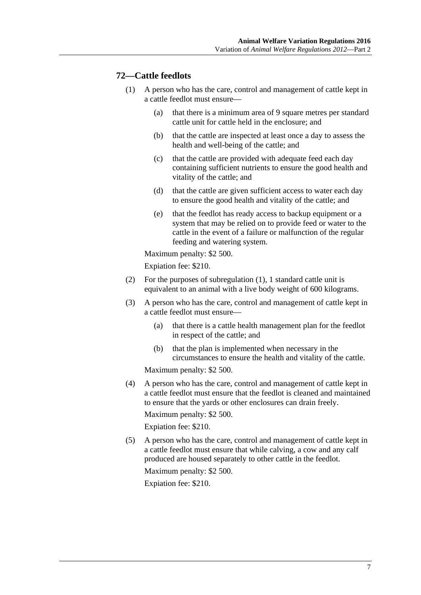## <span id="page-6-0"></span>**72—Cattle feedlots**

- (1) A person who has the care, control and management of cattle kept in a cattle feedlot must ensure—
	- (a) that there is a minimum area of 9 square metres per standard cattle unit for cattle held in the enclosure; and
	- (b) that the cattle are inspected at least once a day to assess the health and well-being of the cattle; and
	- (c) that the cattle are provided with adequate feed each day containing sufficient nutrients to ensure the good health and vitality of the cattle; and
	- (d) that the cattle are given sufficient access to water each day to ensure the good health and vitality of the cattle; and
	- (e) that the feedlot has ready access to backup equipment or a system that may be relied on to provide feed or water to the cattle in the event of a failure or malfunction of the regular feeding and watering system.

Maximum penalty: \$2 500.

Expiation fee: \$210.

- (2) For the purposes of [subregulation](#page-6-0) (1), 1 standard cattle unit is equivalent to an animal with a live body weight of 600 kilograms.
- (3) A person who has the care, control and management of cattle kept in a cattle feedlot must ensure—
	- (a) that there is a cattle health management plan for the feedlot in respect of the cattle; and
	- (b) that the plan is implemented when necessary in the circumstances to ensure the health and vitality of the cattle.

Maximum penalty: \$2 500.

(4) A person who has the care, control and management of cattle kept in a cattle feedlot must ensure that the feedlot is cleaned and maintained to ensure that the yards or other enclosures can drain freely.

Maximum penalty: \$2 500.

Expiation fee: \$210.

(5) A person who has the care, control and management of cattle kept in a cattle feedlot must ensure that while calving, a cow and any calf produced are housed separately to other cattle in the feedlot.

Maximum penalty: \$2 500.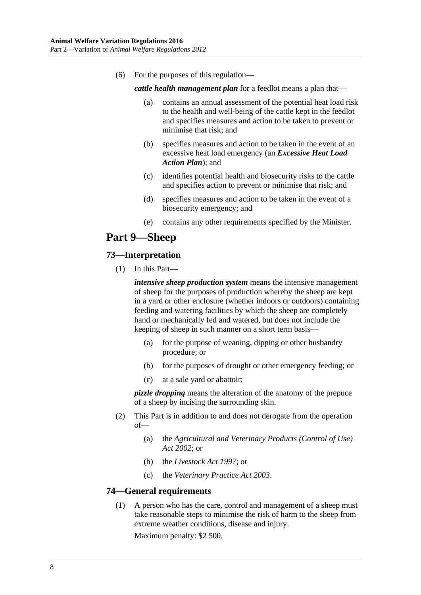<span id="page-7-0"></span>(6) For the purposes of this regulation—

*cattle health management plan* for a feedlot means a plan that—

- (a) contains an annual assessment of the potential heat load risk to the health and well-being of the cattle kept in the feedlot and specifies measures and action to be taken to prevent or minimise that risk; and
- (b) specifies measures and action to be taken in the event of an excessive heat load emergency (an *Excessive Heat Load Action Plan*); and
- (c) identifies potential health and biosecurity risks to the cattle and specifies action to prevent or minimise that risk; and
- (d) specifies measures and action to be taken in the event of a biosecurity emergency; and
- (e) contains any other requirements specified by the Minister.

## **Part 9—Sheep**

#### **73—Interpretation**

(1) In this Part—

*intensive sheep production system* means the intensive management of sheep for the purposes of production whereby the sheep are kept in a yard or other enclosure (whether indoors or outdoors) containing feeding and watering facilities by which the sheep are completely hand or mechanically fed and watered, but does not include the keeping of sheep in such manner on a short term basis—

- (a) for the purpose of weaning, dipping or other husbandry procedure; or
- (b) for the purposes of drought or other emergency feeding; or
- (c) at a sale yard or abattoir;

*pizzle dropping* means the alteration of the anatomy of the prepuce of a sheep by incising the surrounding skin.

- (2) This Part is in addition to and does not derogate from the operation of—
	- (a) the *[Agricultural and Veterinary Products \(Control of Use\)](http://www.legislation.sa.gov.au/index.aspx?action=legref&type=act&legtitle=Agricultural%20and%20Veterinary%20Products%20(Control%20of%20Use)%20Act%202002)  Act [2002](http://www.legislation.sa.gov.au/index.aspx?action=legref&type=act&legtitle=Agricultural%20and%20Veterinary%20Products%20(Control%20of%20Use)%20Act%202002)*; or
	- (b) the *[Livestock Act](http://www.legislation.sa.gov.au/index.aspx?action=legref&type=act&legtitle=Livestock%20Act%201997) 1997*; or
	- (c) the *[Veterinary Practice Act](http://www.legislation.sa.gov.au/index.aspx?action=legref&type=act&legtitle=Veterinary%20Practice%20Act%202003) 2003*.

## **74—General requirements**

(1) A person who has the care, control and management of a sheep must take reasonable steps to minimise the risk of harm to the sheep from extreme weather conditions, disease and injury.

Maximum penalty: \$2 500.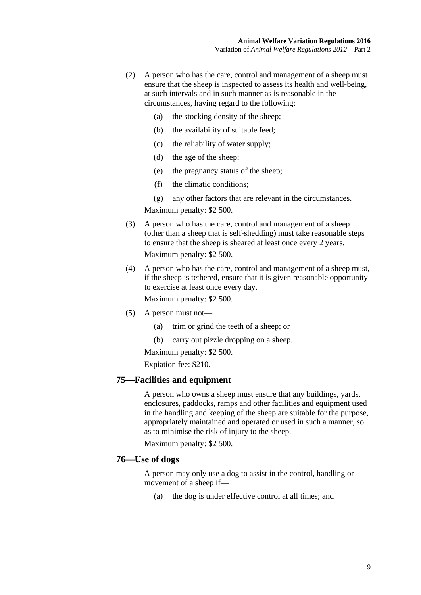- (2) A person who has the care, control and management of a sheep must ensure that the sheep is inspected to assess its health and well-being, at such intervals and in such manner as is reasonable in the circumstances, having regard to the following:
	- (a) the stocking density of the sheep;
	- (b) the availability of suitable feed;
	- (c) the reliability of water supply;
	- (d) the age of the sheep;
	- (e) the pregnancy status of the sheep;
	- (f) the climatic conditions;
	- (g) any other factors that are relevant in the circumstances.

Maximum penalty: \$2 500.

(3) A person who has the care, control and management of a sheep (other than a sheep that is self-shedding) must take reasonable steps to ensure that the sheep is sheared at least once every 2 years.

Maximum penalty: \$2 500.

(4) A person who has the care, control and management of a sheep must, if the sheep is tethered, ensure that it is given reasonable opportunity to exercise at least once every day.

Maximum penalty: \$2 500.

- (5) A person must not—
	- (a) trim or grind the teeth of a sheep; or
	- (b) carry out pizzle dropping on a sheep.

Maximum penalty: \$2 500.

Expiation fee: \$210.

#### **75—Facilities and equipment**

A person who owns a sheep must ensure that any buildings, yards, enclosures, paddocks, ramps and other facilities and equipment used in the handling and keeping of the sheep are suitable for the purpose, appropriately maintained and operated or used in such a manner, so as to minimise the risk of injury to the sheep.

Maximum penalty: \$2 500.

#### **76—Use of dogs**

A person may only use a dog to assist in the control, handling or movement of a sheep if—

(a) the dog is under effective control at all times; and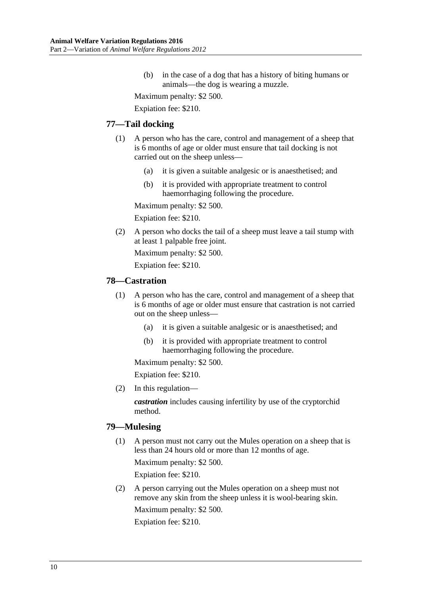(b) in the case of a dog that has a history of biting humans or animals—the dog is wearing a muzzle.

Maximum penalty: \$2 500.

Expiation fee: \$210.

#### **77—Tail docking**

- (1) A person who has the care, control and management of a sheep that is 6 months of age or older must ensure that tail docking is not carried out on the sheep unless—
	- (a) it is given a suitable analgesic or is anaesthetised; and
	- (b) it is provided with appropriate treatment to control haemorrhaging following the procedure.

Maximum penalty: \$2 500.

Expiation fee: \$210.

(2) A person who docks the tail of a sheep must leave a tail stump with at least 1 palpable free joint.

Maximum penalty: \$2 500.

Expiation fee: \$210.

#### **78—Castration**

- (1) A person who has the care, control and management of a sheep that is 6 months of age or older must ensure that castration is not carried out on the sheep unless—
	- (a) it is given a suitable analgesic or is anaesthetised; and
	- (b) it is provided with appropriate treatment to control haemorrhaging following the procedure.

Maximum penalty: \$2 500.

Expiation fee: \$210.

(2) In this regulation—

*castration* includes causing infertility by use of the cryptorchid method.

#### **79—Mulesing**

- (1) A person must not carry out the Mules operation on a sheep that is less than 24 hours old or more than 12 months of age. Maximum penalty: \$2 500. Expiation fee: \$210.
- (2) A person carrying out the Mules operation on a sheep must not remove any skin from the sheep unless it is wool-bearing skin. Maximum penalty: \$2 500. Expiation fee: \$210.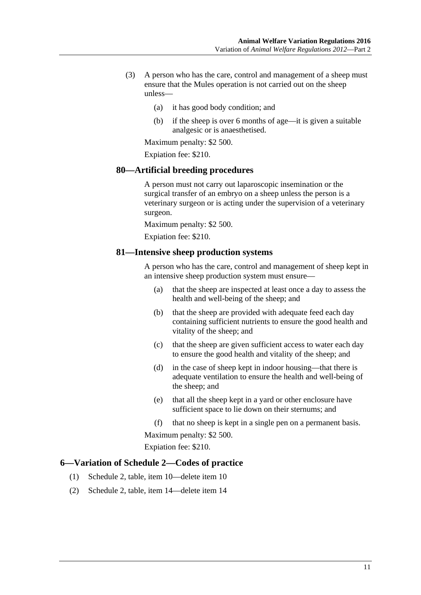- (3) A person who has the care, control and management of a sheep must ensure that the Mules operation is not carried out on the sheep unless—
	- (a) it has good body condition; and
	- (b) if the sheep is over 6 months of age—it is given a suitable analgesic or is anaesthetised.

Maximum penalty: \$2 500.

Expiation fee: \$210.

#### **80—Artificial breeding procedures**

A person must not carry out laparoscopic insemination or the surgical transfer of an embryo on a sheep unless the person is a veterinary surgeon or is acting under the supervision of a veterinary surgeon.

Maximum penalty: \$2 500.

Expiation fee: \$210.

#### **81—Intensive sheep production systems**

A person who has the care, control and management of sheep kept in an intensive sheep production system must ensure—

- (a) that the sheep are inspected at least once a day to assess the health and well-being of the sheep; and
- (b) that the sheep are provided with adequate feed each day containing sufficient nutrients to ensure the good health and vitality of the sheep; and
- (c) that the sheep are given sufficient access to water each day to ensure the good health and vitality of the sheep; and
- (d) in the case of sheep kept in indoor housing—that there is adequate ventilation to ensure the health and well-being of the sheep; and
- (e) that all the sheep kept in a yard or other enclosure have sufficient space to lie down on their sternums; and
- (f) that no sheep is kept in a single pen on a permanent basis.

Maximum penalty: \$2 500.

Expiation fee: \$210.

#### <span id="page-10-0"></span>**6—Variation of Schedule 2—Codes of practice**

- (1) Schedule 2, table, item 10—delete item 10
- (2) Schedule 2, table, item 14—delete item 14